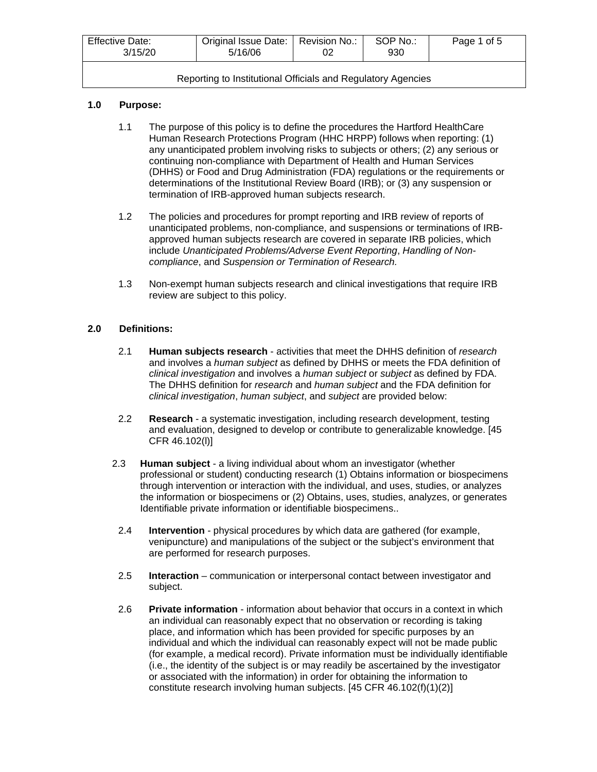| <b>Effective Date:</b><br>3/15/20                            | Original Issue Date:   Revision No.:<br>5/16/06 | 02 | SOP No.:<br>930 | Page 1 of 5 |
|--------------------------------------------------------------|-------------------------------------------------|----|-----------------|-------------|
| Reporting to Institutional Officials and Regulatory Agencies |                                                 |    |                 |             |

## **1.0 Purpose:**

- 1.1 The purpose of this policy is to define the procedures the Hartford HealthCare Human Research Protections Program (HHC HRPP) follows when reporting: (1) any unanticipated problem involving risks to subjects or others; (2) any serious or continuing non-compliance with Department of Health and Human Services (DHHS) or Food and Drug Administration (FDA) regulations or the requirements or determinations of the Institutional Review Board (IRB); or (3) any suspension or termination of IRB-approved human subjects research.
- 1.2 The policies and procedures for prompt reporting and IRB review of reports of unanticipated problems, non-compliance, and suspensions or terminations of IRBapproved human subjects research are covered in separate IRB policies, which include *Unanticipated Problems/Adverse Event Reporting*, *Handling of Noncompliance*, and *Suspension or Termination of Research.*
- 1.3 Non-exempt human subjects research and clinical investigations that require IRB review are subject to this policy.

## **2.0 Definitions:**

- 2.1 **Human subjects research** activities that meet the DHHS definition of *research*  and involves a *human subject* as defined by DHHS or meets the FDA definition of *clinical investigation* and involves a *human subject* or *subject* as defined by FDA. The DHHS definition for *research* and *human subject* and the FDA definition for *clinical investigation*, *human subject*, and *subject* are provided below:
- 2.2 **Research** a systematic investigation, including research development, testing and evaluation, designed to develop or contribute to generalizable knowledge. [45 CFR 46.102(l)]
- 2.3 **Human subject** a living individual about whom an investigator (whether professional or student) conducting research (1) Obtains information or biospecimens through intervention or interaction with the individual, and uses, studies, or analyzes the information or biospecimens or (2) Obtains, uses, studies, analyzes, or generates Identifiable private information or identifiable biospecimens..
- 2.4 **Intervention** *-* physical procedures by which data are gathered (for example, venipuncture) and manipulations of the subject or the subject's environment that are performed for research purposes.
- 2.5 **Interaction** communication or interpersonal contact between investigator and subject.
- 2.6 **Private information** information about behavior that occurs in a context in which an individual can reasonably expect that no observation or recording is taking place, and information which has been provided for specific purposes by an individual and which the individual can reasonably expect will not be made public (for example, a medical record). Private information must be individually identifiable (i.e., the identity of the subject is or may readily be ascertained by the investigator or associated with the information) in order for obtaining the information to constitute research involving human subjects. [45 CFR 46.102(f)(1)(2)]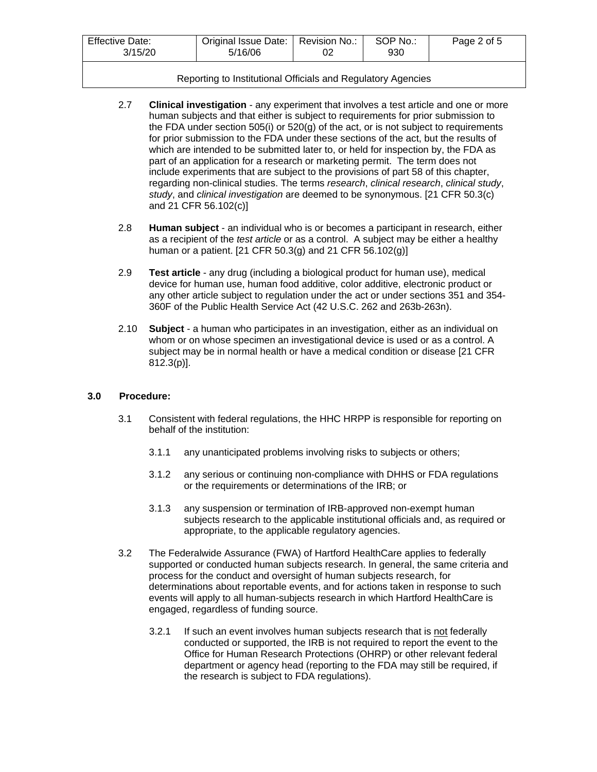| <b>Effective Date:</b><br>3/15/20 | Original Issue Date:   Revision No.:<br>5/16/06 | 02 | SOP No.:<br>930 | Page 2 of 5 |
|-----------------------------------|-------------------------------------------------|----|-----------------|-------------|
|                                   |                                                 |    |                 |             |

#### Reporting to Institutional Officials and Regulatory Agencies

- 2.7 **Clinical investigation** any experiment that involves a test article and one or more human subjects and that either is subject to requirements for prior submission to the FDA under section 505(i) or  $520(g)$  of the act, or is not subject to requirements for prior submission to the FDA under these sections of the act, but the results of which are intended to be submitted later to, or held for inspection by, the FDA as part of an application for a research or marketing permit. The term does not include experiments that are subject to the provisions of part 58 of this chapter, regarding non-clinical studies. The terms *research*, *clinical research*, *clinical study*, *study*, and *clinical investigation* are deemed to be synonymous. [21 CFR 50.3(c) and 21 CFR 56.102(c)]
- 2.8 **Human subject** an individual who is or becomes a participant in research, either as a recipient of the *test article* or as a control. A subject may be either a healthy human or a patient. [21 CFR 50.3(g) and 21 CFR 56.102(g)]
- 2.9 **Test article** any drug (including a biological product for human use), medical device for human use, human food additive, color additive, electronic product or any other article subject to regulation under the act or under sections 351 and 354- 360F of the Public Health Service Act (42 U.S.C. 262 and 263b-263n).
- 2.10 **Subject** a human who participates in an investigation, either as an individual on whom or on whose specimen an investigational device is used or as a control. A subject may be in normal health or have a medical condition or disease [21 CFR 812.3(p)].

#### **3.0 Procedure:**

- 3.1 Consistent with federal regulations, the HHC HRPP is responsible for reporting on behalf of the institution:
	- 3.1.1 any unanticipated problems involving risks to subjects or others;
	- 3.1.2 any serious or continuing non-compliance with DHHS or FDA regulations or the requirements or determinations of the IRB; or
	- 3.1.3 any suspension or termination of IRB-approved non-exempt human subjects research to the applicable institutional officials and, as required or appropriate, to the applicable regulatory agencies.
- 3.2 The Federalwide Assurance (FWA) of Hartford HealthCare applies to federally supported or conducted human subjects research. In general, the same criteria and process for the conduct and oversight of human subjects research, for determinations about reportable events, and for actions taken in response to such events will apply to all human-subjects research in which Hartford HealthCare is engaged, regardless of funding source.
	- 3.2.1 If such an event involves human subjects research that is not federally conducted or supported, the IRB is not required to report the event to the Office for Human Research Protections (OHRP) or other relevant federal department or agency head (reporting to the FDA may still be required, if the research is subject to FDA regulations).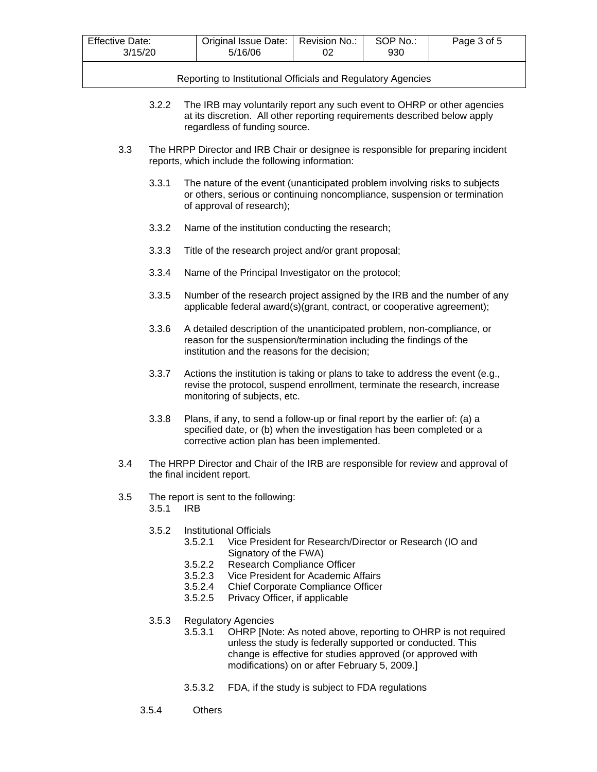| <b>Effective Date:</b><br>3/15/20 | Original Issue Date:   Revision No.:<br>5/16/06 | SOP No.:<br>930 | Page 3 of 5 |
|-----------------------------------|-------------------------------------------------|-----------------|-------------|
|                                   |                                                 |                 |             |

Reporting to Institutional Officials and Regulatory Agencies

- 3.2.2 The IRB may voluntarily report any such event to OHRP or other agencies at its discretion. All other reporting requirements described below apply regardless of funding source.
- 3.3 The HRPP Director and IRB Chair or designee is responsible for preparing incident reports, which include the following information:
	- 3.3.1 The nature of the event (unanticipated problem involving risks to subjects or others, serious or continuing noncompliance, suspension or termination of approval of research);
	- 3.3.2 Name of the institution conducting the research;
	- 3.3.3 Title of the research project and/or grant proposal;
	- 3.3.4 Name of the Principal Investigator on the protocol;
	- 3.3.5 Number of the research project assigned by the IRB and the number of any applicable federal award(s)(grant, contract, or cooperative agreement);
	- 3.3.6 A detailed description of the unanticipated problem, non-compliance, or reason for the suspension/termination including the findings of the institution and the reasons for the decision;
	- 3.3.7 Actions the institution is taking or plans to take to address the event (e.g., revise the protocol, suspend enrollment, terminate the research, increase monitoring of subjects, etc.
	- 3.3.8 Plans, if any, to send a follow-up or final report by the earlier of: (a) a specified date, or (b) when the investigation has been completed or a corrective action plan has been implemented.
- 3.4 The HRPP Director and Chair of the IRB are responsible for review and approval of the final incident report.
- 3.5 The report is sent to the following: 3.5.1 IRB
	- 3.5.2 Institutional Officials
		- 3.5.2.1 Vice President for Research/Director or Research (IO and Signatory of the FWA)
		- 3.5.2.2 Research Compliance Officer
		- 3.5.2.3 Vice President for Academic Affairs
		- 3.5.2.4 Chief Corporate Compliance Officer
		- 3.5.2.5 Privacy Officer, if applicable
	- 3.5.3 Regulatory Agencies
		- 3.5.3.1 OHRP [Note: As noted above, reporting to OHRP is not required unless the study is federally supported or conducted. This change is effective for studies approved (or approved with modifications) on or after February 5, 2009.]
		- 3.5.3.2 FDA, if the study is subject to FDA regulations
	- 3.5.4 Others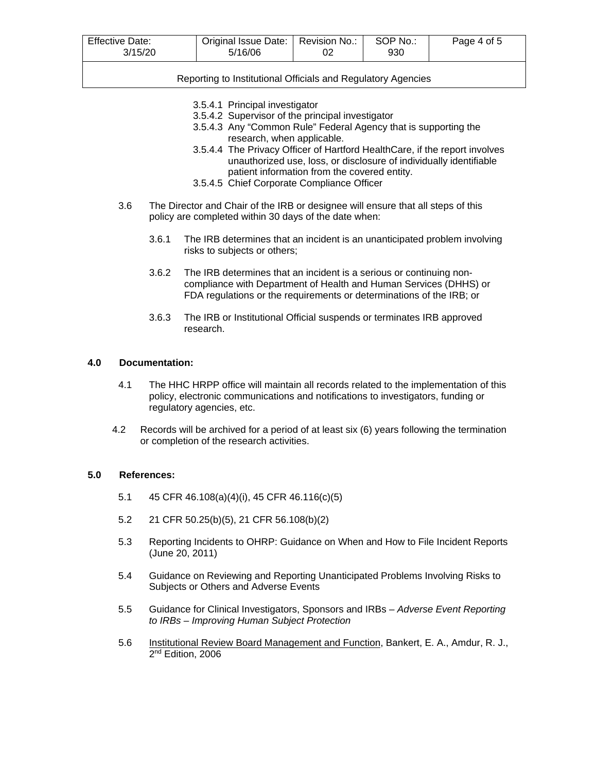| <b>Effective Date:</b><br>3/15/20 | Original Issue Date:   Revision No.:<br>5/16/06 | 02 | SOP No.:<br>930 | Page 4 of 5 |
|-----------------------------------|-------------------------------------------------|----|-----------------|-------------|
|                                   |                                                 |    |                 |             |

Reporting to Institutional Officials and Regulatory Agencies

- 3.5.4.1 Principal investigator
- 3.5.4.2 Supervisor of the principal investigator
- 3.5.4.3 Any "Common Rule" Federal Agency that is supporting the research, when applicable.
- 3.5.4.4 The Privacy Officer of Hartford HealthCare, if the report involves unauthorized use, loss, or disclosure of individually identifiable patient information from the covered entity.
- 3.5.4.5 Chief Corporate Compliance Officer
- 3.6 The Director and Chair of the IRB or designee will ensure that all steps of this policy are completed within 30 days of the date when:
	- 3.6.1 The IRB determines that an incident is an unanticipated problem involving risks to subjects or others;
	- 3.6.2 The IRB determines that an incident is a serious or continuing noncompliance with Department of Health and Human Services (DHHS) or FDA regulations or the requirements or determinations of the IRB; or
	- 3.6.3 The IRB or Institutional Official suspends or terminates IRB approved research.

#### **4.0 Documentation:**

- 4.1 The HHC HRPP office will maintain all records related to the implementation of this policy, electronic communications and notifications to investigators, funding or regulatory agencies, etc.
- 4.2 Records will be archived for a period of at least six (6) years following the termination or completion of the research activities.

#### **5.0 References:**

- 5.1 45 CFR 46.108(a)(4)(i), 45 CFR 46.116(c)(5)
- 5.2 21 CFR 50.25(b)(5), 21 CFR 56.108(b)(2)
- 5.3 Reporting Incidents to OHRP: Guidance on When and How to File Incident Reports (June 20, 2011)
- 5.4 Guidance on Reviewing and Reporting Unanticipated Problems Involving Risks to Subjects or Others and Adverse Events
- 5.5 Guidance for Clinical Investigators, Sponsors and IRBs *Adverse Event Reporting to IRBs – Improving Human Subject Protection*
- 5.6 Institutional Review Board Management and Function, Bankert, E. A., Amdur, R. J., 2<sup>nd</sup> Edition, 2006